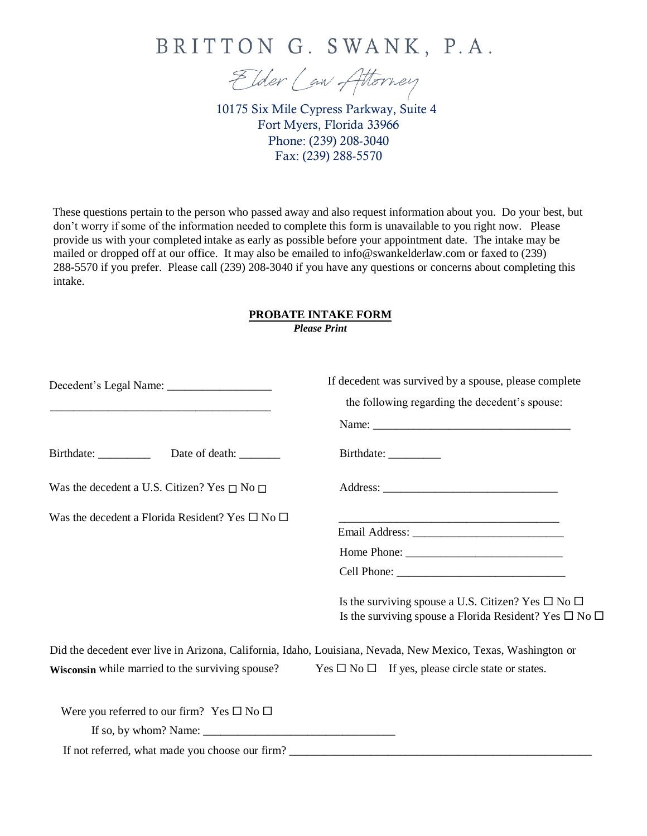

Elder Law Attorney

10175 Six Mile Cypress Parkway, Suite 4 Fort Myers, Florida 33966 Phone: (239) 208-3040 Fax: (239) 288-5570

These questions pertain to the person who passed away and also request information about you. Do your best, but don't worry if some of the information needed to complete this form is unavailable to you right now. Please provide us with your completed intake as early as possible before your appointment date. The intake may be mailed or dropped off at our office. It may also be emailed to info@swankelderlaw.com or faxed to (239) 288-5570 if you prefer. Please call (239) 208-3040 if you have any questions or concerns about completing this intake.

#### **PROBATE INTAKE FORM** *Please Print*

|                                                                                                                                                                                                                                                                               | If decedent was survived by a spouse, please complete<br>the following regarding the decedent's spouse:                                      |
|-------------------------------------------------------------------------------------------------------------------------------------------------------------------------------------------------------------------------------------------------------------------------------|----------------------------------------------------------------------------------------------------------------------------------------------|
|                                                                                                                                                                                                                                                                               |                                                                                                                                              |
|                                                                                                                                                                                                                                                                               |                                                                                                                                              |
| Was the decedent a U.S. Citizen? Yes $\Box$ No $\Box$                                                                                                                                                                                                                         |                                                                                                                                              |
| Was the decedent a Florida Resident? Yes $\square$ No $\square$                                                                                                                                                                                                               |                                                                                                                                              |
|                                                                                                                                                                                                                                                                               |                                                                                                                                              |
|                                                                                                                                                                                                                                                                               |                                                                                                                                              |
|                                                                                                                                                                                                                                                                               |                                                                                                                                              |
|                                                                                                                                                                                                                                                                               | Is the surviving spouse a U.S. Citizen? Yes $\square$ No $\square$<br>Is the surviving spouse a Florida Resident? Yes $\square$ No $\square$ |
|                                                                                                                                                                                                                                                                               | Did the decedent ever live in Arizona, California, Idaho, Louisiana, Nevada, New Mexico, Texas, Washington or                                |
| Wisconsin while married to the surviving spouse?                                                                                                                                                                                                                              | Yes $\square$ No $\square$ If yes, please circle state or states.                                                                            |
| Were you referred to our firm? Yes $\square$ No $\square$                                                                                                                                                                                                                     |                                                                                                                                              |
| If so, by whom? Name: $\frac{1}{2}$ Mannel $\frac{1}{2}$ Mannel $\frac{1}{2}$ Mannel $\frac{1}{2}$ Mannel $\frac{1}{2}$ Mannel $\frac{1}{2}$ Mannel $\frac{1}{2}$ Mannel $\frac{1}{2}$ Mannel $\frac{1}{2}$ Mannel $\frac{1}{2}$ Mannel $\frac{1}{2}$ Mannel $\frac{1}{2}$ Ma |                                                                                                                                              |
| If not referred, what made you choose our firm?                                                                                                                                                                                                                               |                                                                                                                                              |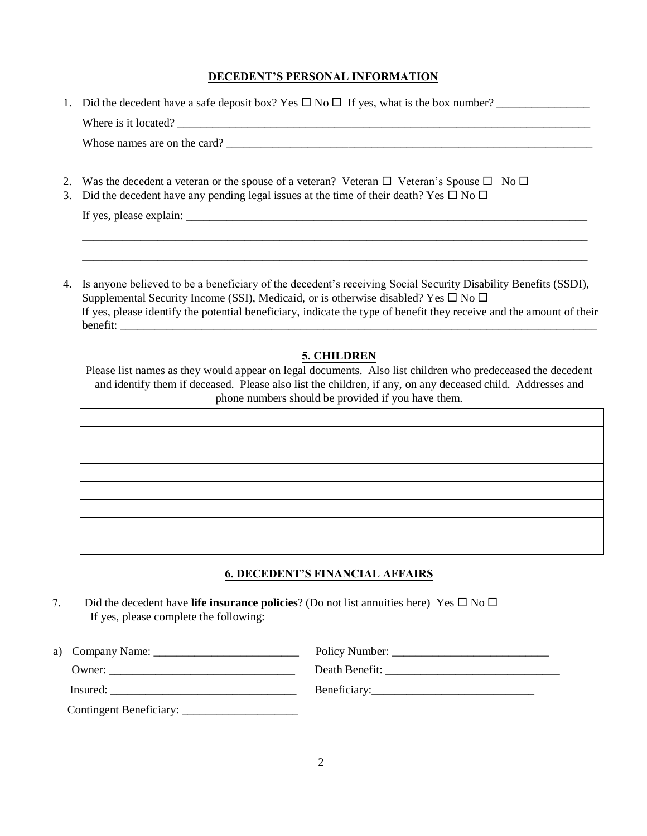### **DECEDENT'S PERSONAL INFORMATION**

| 1. Did the decedent have a safe deposit box? Yes $\Box$ No $\Box$ If yes, what is the box number? |
|---------------------------------------------------------------------------------------------------|
| Where is it located?                                                                              |
| Whose names are on the card?                                                                      |
|                                                                                                   |

- 2. Was the decedent a veteran or the spouse of a veteran? Veteran  $\Box$  Veteran's Spouse  $\Box$  No  $\Box$
- 3. Did the decedent have any pending legal issues at the time of their death? Yes  $\Box$  No  $\Box$

If yes, please explain:

4. Is anyone believed to be a beneficiary of the decedent's receiving Social Security Disability Benefits (SSDI), Supplemental Security Income (SSI), Medicaid, or is otherwise disabled? Yes  $\Box$  No  $\Box$ If yes, please identify the potential beneficiary, indicate the type of benefit they receive and the amount of their benefit:

\_\_\_\_\_\_\_\_\_\_\_\_\_\_\_\_\_\_\_\_\_\_\_\_\_\_\_\_\_\_\_\_\_\_\_\_\_\_\_\_\_\_\_\_\_\_\_\_\_\_\_\_\_\_\_\_\_\_\_\_\_\_\_\_\_\_\_\_\_\_\_\_\_\_\_\_\_\_\_\_\_\_\_\_\_\_\_ \_\_\_\_\_\_\_\_\_\_\_\_\_\_\_\_\_\_\_\_\_\_\_\_\_\_\_\_\_\_\_\_\_\_\_\_\_\_\_\_\_\_\_\_\_\_\_\_\_\_\_\_\_\_\_\_\_\_\_\_\_\_\_\_\_\_\_\_\_\_\_\_\_\_\_\_\_\_\_\_\_\_\_\_\_\_\_

## **5. CHILDREN**

Please list names as they would appear on legal documents. Also list children who predeceased the decedent and identify them if deceased. Please also list the children, if any, on any deceased child. Addresses and phone numbers should be provided if you have them.

# **6. DECEDENT'S FINANCIAL AFFAIRS**

7. Did the decedent have **life insurance policies**? (Do not list annuities here) Yes  $\Box$  No  $\Box$ If yes, please complete the following:

| a) Company Name: _ |                |
|--------------------|----------------|
| Owner:             | Death Benefit: |
| Insured:           |                |
|                    |                |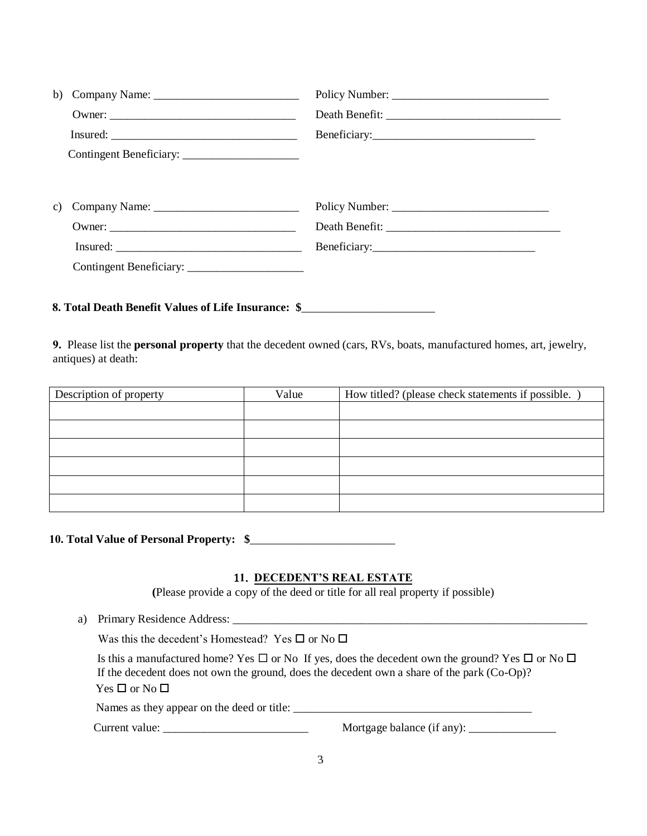| b) |                                                                     |              |
|----|---------------------------------------------------------------------|--------------|
|    |                                                                     |              |
|    |                                                                     |              |
|    |                                                                     |              |
|    |                                                                     |              |
|    | c) Company Name: $\frac{1}{\sqrt{1-\frac{1}{2}} \cdot \frac{1}{2}}$ |              |
|    |                                                                     |              |
|    |                                                                     |              |
|    | Insured:                                                            | Beneficiary: |
|    |                                                                     |              |
|    |                                                                     |              |

# **8. Total Death Benefit Values of Life Insurance: \$**\_\_\_\_\_\_\_\_\_\_\_\_\_\_\_\_\_\_\_\_\_\_\_

**9.** Please list the **personal property** that the decedent owned (cars, RVs, boats, manufactured homes, art, jewelry, antiques) at death:

| Description of property | Value | How titled? (please check statements if possible. |
|-------------------------|-------|---------------------------------------------------|
|                         |       |                                                   |
|                         |       |                                                   |
|                         |       |                                                   |
|                         |       |                                                   |
|                         |       |                                                   |
|                         |       |                                                   |

## **10. Total Value of Personal Property: \$**\_\_\_\_\_\_\_\_\_\_\_\_\_\_\_\_\_\_\_\_\_\_\_\_\_

### 1**1**. **DECEDENT'S REAL ESTATE**

**(**Please provide a copy of the deed or title for all real property if possible)

a) Primary Residence Address: \_\_\_\_\_\_\_\_\_\_\_\_\_\_\_\_\_\_\_\_\_\_\_\_\_\_\_\_\_\_\_\_\_\_\_\_\_\_\_\_\_\_\_\_\_\_\_\_\_\_\_\_\_\_\_\_\_\_\_\_\_

Was this the decedent's Homestead? Yes  $\square$  or No  $\square$ 

Is this a manufactured home? Yes  $\Box$  or No If yes, does the decedent own the ground? Yes  $\Box$  or No  $\Box$ If the decedent does not own the ground, does the decedent own a share of the park (Co-Op)?  $Yes \Box or No \Box$ 

Names as they appear on the deed or title: \_\_\_\_\_\_\_\_\_\_\_\_\_\_\_\_\_\_\_\_\_\_\_\_\_\_\_\_\_\_\_\_\_\_\_\_\_\_\_\_\_

Current value: \_\_\_\_\_\_\_\_\_\_\_\_\_\_\_\_\_\_\_\_\_\_\_\_\_ Mortgage balance (if any): \_\_\_\_\_\_\_\_\_\_\_\_\_\_\_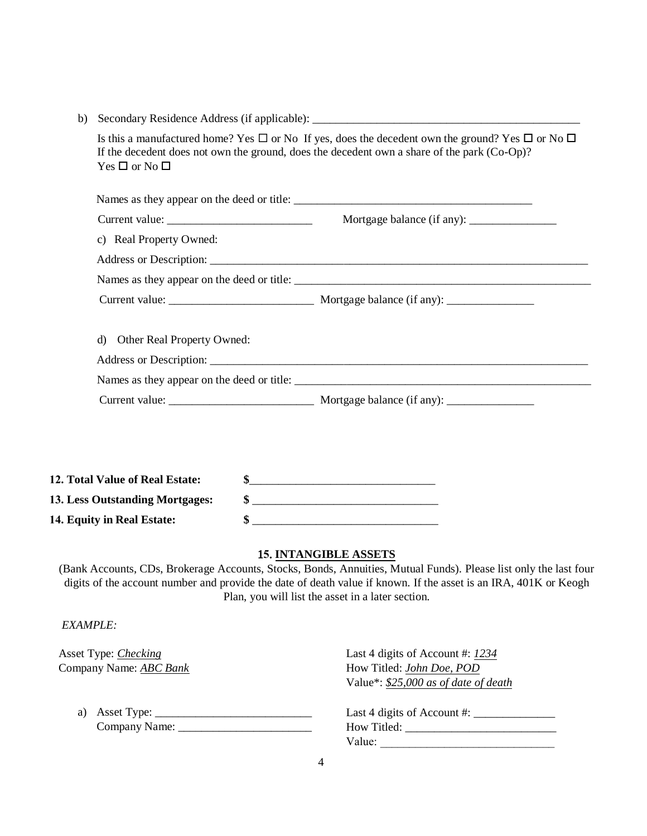| b)                                                                              |                                                                                                                                                                                                                                                                                                                                                                                                                                    |
|---------------------------------------------------------------------------------|------------------------------------------------------------------------------------------------------------------------------------------------------------------------------------------------------------------------------------------------------------------------------------------------------------------------------------------------------------------------------------------------------------------------------------|
| Yes $\Box$ or No $\Box$                                                         | Is this a manufactured home? Yes $\Box$ or No If yes, does the decedent own the ground? Yes $\Box$ or No $\Box$<br>If the decedent does not own the ground, does the decedent own a share of the park (Co-Op)?                                                                                                                                                                                                                     |
|                                                                                 |                                                                                                                                                                                                                                                                                                                                                                                                                                    |
|                                                                                 |                                                                                                                                                                                                                                                                                                                                                                                                                                    |
| c) Real Property Owned:                                                         |                                                                                                                                                                                                                                                                                                                                                                                                                                    |
|                                                                                 |                                                                                                                                                                                                                                                                                                                                                                                                                                    |
|                                                                                 | Names as they appear on the deed or title:                                                                                                                                                                                                                                                                                                                                                                                         |
|                                                                                 |                                                                                                                                                                                                                                                                                                                                                                                                                                    |
| d) Other Real Property Owned:                                                   |                                                                                                                                                                                                                                                                                                                                                                                                                                    |
|                                                                                 |                                                                                                                                                                                                                                                                                                                                                                                                                                    |
|                                                                                 |                                                                                                                                                                                                                                                                                                                                                                                                                                    |
| 12. Total Value of Real Estate:                                                 | \$                                                                                                                                                                                                                                                                                                                                                                                                                                 |
| 13. Less Outstanding Mortgages:                                                 | $\frac{\frac{1}{2} \frac{1}{2} \frac{1}{2} \frac{1}{2} \frac{1}{2} \frac{1}{2} \frac{1}{2} \frac{1}{2} \frac{1}{2} \frac{1}{2} \frac{1}{2} \frac{1}{2} \frac{1}{2} \frac{1}{2} \frac{1}{2} \frac{1}{2} \frac{1}{2} \frac{1}{2} \frac{1}{2} \frac{1}{2} \frac{1}{2} \frac{1}{2} \frac{1}{2} \frac{1}{2} \frac{1}{2} \frac{1}{2} \frac{1}{2} \frac{1}{2} \frac{1}{2} \frac{1}{2} \frac{1}{2} \$                                      |
| 14. Equity in Real Estate:                                                      | $\frac{1}{2}$ $\frac{1}{2}$ $\frac{1}{2}$ $\frac{1}{2}$ $\frac{1}{2}$ $\frac{1}{2}$ $\frac{1}{2}$ $\frac{1}{2}$ $\frac{1}{2}$ $\frac{1}{2}$ $\frac{1}{2}$ $\frac{1}{2}$ $\frac{1}{2}$ $\frac{1}{2}$ $\frac{1}{2}$ $\frac{1}{2}$ $\frac{1}{2}$ $\frac{1}{2}$ $\frac{1}{2}$ $\frac{1}{2}$ $\frac{1}{2}$ $\frac{1}{2}$                                                                                                                |
| <b>EXAMPLE:</b><br>Asset Type: <i>Checking</i><br>Company Name: <b>ABC Bank</b> | <b>15. INTANGIBLE ASSETS</b><br>(Bank Accounts, CDs, Brokerage Accounts, Stocks, Bonds, Annuities, Mutual Funds). Please list only the last four<br>digits of the account number and provide the date of death value if known. If the asset is an IRA, 401K or Keogh<br>Plan, you will list the asset in a later section.<br>Last 4 digits of Account #: 1234<br>How Titled: John Doe, POD<br>Value*: \$25,000 as of date of death |
|                                                                                 |                                                                                                                                                                                                                                                                                                                                                                                                                                    |
| a)                                                                              | Last 4 digits of Account #: $\frac{1}{2}$                                                                                                                                                                                                                                                                                                                                                                                          |
|                                                                                 | Value:                                                                                                                                                                                                                                                                                                                                                                                                                             |
|                                                                                 | 4                                                                                                                                                                                                                                                                                                                                                                                                                                  |
|                                                                                 |                                                                                                                                                                                                                                                                                                                                                                                                                                    |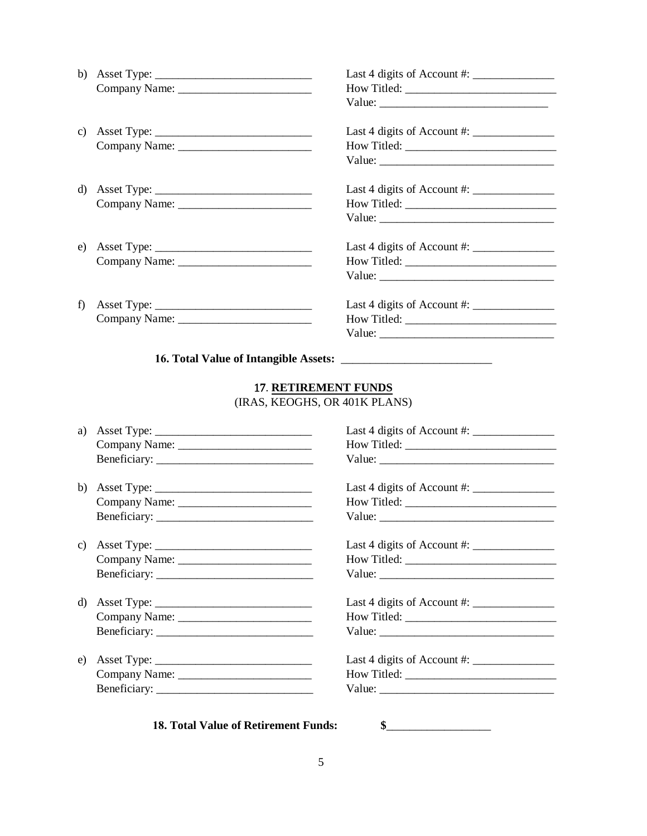| b) Asset Type: $\frac{1}{\sqrt{1-\frac{1}{2}} \cdot \frac{1}{2}}$                                            | Last 4 digits of Account #: $\frac{1}{2}$ |
|--------------------------------------------------------------------------------------------------------------|-------------------------------------------|
| c) Asset Type: $\frac{1}{\sqrt{1-\frac{1}{2}}\sqrt{1-\frac{1}{2}}\sqrt{1-\frac{1}{2}}\sqrt{1-\frac{1}{2}}}}$ |                                           |
| d) Asset Type: $\_\_$                                                                                        | Last 4 digits of Account #: $\frac{1}{2}$ |
| e) Asset Type: $\frac{1}{\sqrt{1-\frac{1}{2}}\sqrt{1-\frac{1}{2}}\sqrt{1-\frac{1}{2}}\sqrt{1-\frac{1}{2}}}}$ | Last 4 digits of Account # $\equiv$       |
| f) Asset Type: $\frac{1}{\sqrt{1-\frac{1}{2}}\sqrt{1-\frac{1}{2}}\sqrt{1-\frac{1}{2}}\sqrt{1-\frac{1}{2}}}}$ |                                           |

# **16. Total Value of Intangible Assets:** \_\_\_\_\_\_\_\_\_\_\_\_\_\_\_\_\_\_\_\_\_\_\_\_\_\_

# 17. **RETIREMENT FUNDS** (IRAS, KEOGHS, OR 401K PLANS)

| a) |                                      |                                     |
|----|--------------------------------------|-------------------------------------|
|    |                                      |                                     |
|    |                                      | Value:                              |
| b) |                                      |                                     |
|    |                                      |                                     |
|    |                                      | Value:                              |
| C) |                                      | Last 4 digits of Account # $\equiv$ |
|    |                                      |                                     |
|    |                                      |                                     |
| d) |                                      |                                     |
|    |                                      |                                     |
|    |                                      |                                     |
| e) |                                      |                                     |
|    |                                      |                                     |
|    |                                      |                                     |
|    |                                      |                                     |
|    | 18. Total Value of Retirement Funds: | \$                                  |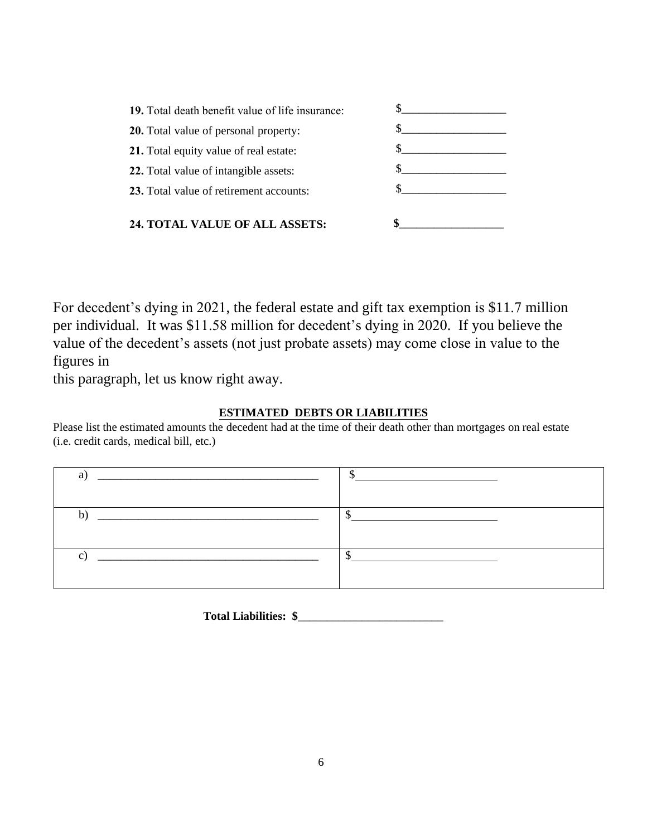| 19. Total death benefit value of life insurance: |  |
|--------------------------------------------------|--|
| <b>20.</b> Total value of personal property:     |  |
| 21. Total equity value of real estate:           |  |
| 22. Total value of intangible assets:            |  |
| 23. Total value of retirement accounts:          |  |
| <b>24. TOTAL VALUE OF ALL ASSETS:</b>            |  |

For decedent's dying in 2021, the federal estate and gift tax exemption is \$11.7 million per individual. It was \$11.58 million for decedent's dying in 2020. If you believe the value of the decedent's assets (not just probate assets) may come close in value to the figures in

this paragraph, let us know right away.

## **ESTIMATED DEBTS OR LIABILITIES**

Please list the estimated amounts the decedent had at the time of their death other than mortgages on real estate (i.e. credit cards, medical bill, etc.)



**Total Liabilities: \$**\_\_\_\_\_\_\_\_\_\_\_\_\_\_\_\_\_\_\_\_\_\_\_\_\_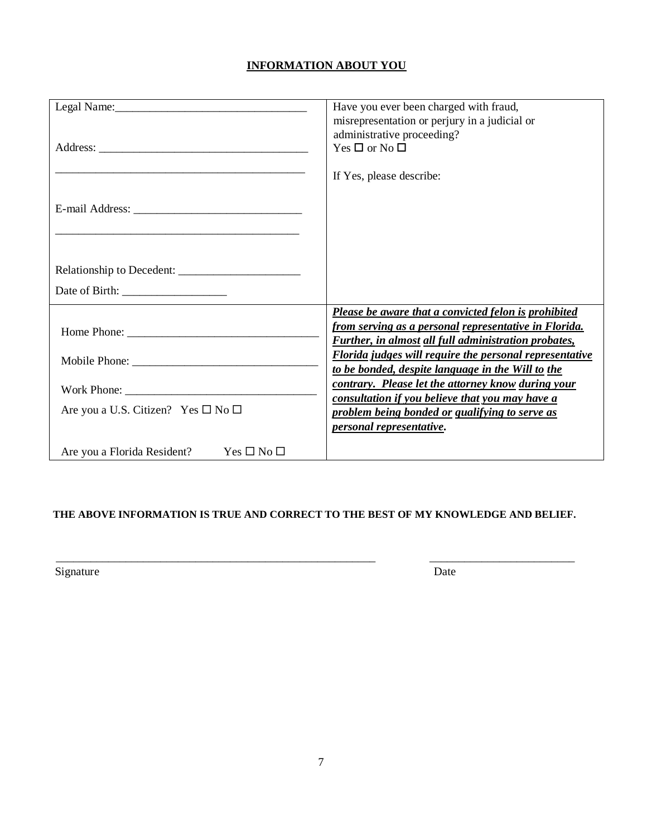# **INFORMATION ABOUT YOU**

|                                                    | Have you ever been charged with fraud,<br>misrepresentation or perjury in a judicial or<br>administrative proceeding?                                                        |
|----------------------------------------------------|------------------------------------------------------------------------------------------------------------------------------------------------------------------------------|
|                                                    | Yes $\Box$ or No $\Box$                                                                                                                                                      |
|                                                    | If Yes, please describe:                                                                                                                                                     |
|                                                    |                                                                                                                                                                              |
|                                                    |                                                                                                                                                                              |
|                                                    |                                                                                                                                                                              |
|                                                    |                                                                                                                                                                              |
|                                                    | Please be aware that a convicted felon is prohibited<br>from serving as a personal representative in Florida.<br><b>Further, in almost all full administration probates,</b> |
|                                                    | <b>Florida judges will require the personal representative</b><br>to be bonded, despite language in the Will to the                                                          |
| Work Phone: $\sqrt{ }$                             | contrary. Please let the attorney know during your                                                                                                                           |
| Are you a U.S. Citizen? Yes $\square$ No $\square$ | consultation if you believe that you may have a<br>problem being bonded or qualifying to serve as<br>personal representative.                                                |
| $Yes \Box No \Box$<br>Are you a Florida Resident?  |                                                                                                                                                                              |

## **THE ABOVE INFORMATION IS TRUE AND CORRECT TO THE BEST OF MY KNOWLEDGE AND BELIEF.**

\_\_\_\_\_\_\_\_\_\_\_\_\_\_\_\_\_\_\_\_\_\_\_\_\_\_\_\_\_\_\_\_\_\_\_\_\_\_\_\_\_\_\_\_\_\_\_\_\_\_\_\_\_\_\_ \_\_\_\_\_\_\_\_\_\_\_\_\_\_\_\_\_\_\_\_\_\_\_\_\_

Signature Date